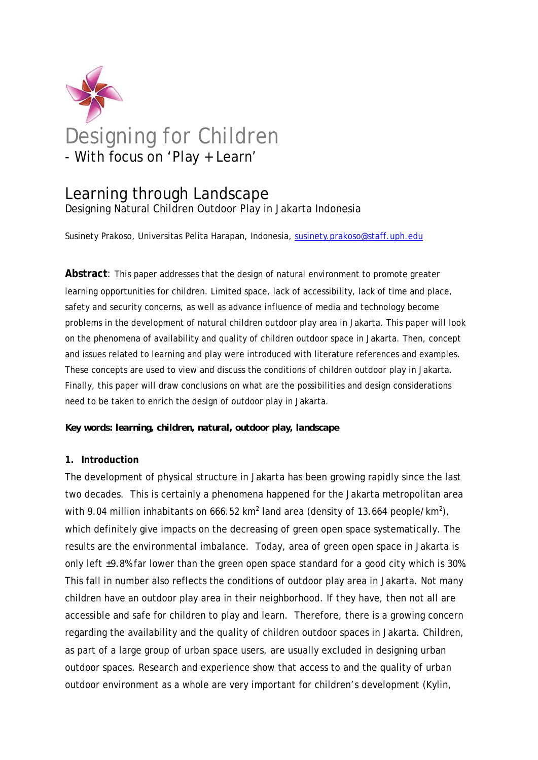

# Learning through Landscape Designing Natural Children Outdoor Play in Jakarta Indonesia

Susinety Prakoso, Universitas Pelita Harapan, Indonesia, [susinety.prakoso@staff.uph.edu](mailto:susinety.prakoso@staff.uph.edu)

**Abstract**: This paper addresses that the design of natural environment to promote greater learning opportunities for children. Limited space, lack of accessibility, lack of time and place, safety and security concerns, as well as advance influence of media and technology become problems in the development of natural children outdoor play area in Jakarta. This paper will look on the phenomena of availability and quality of children outdoor space in Jakarta. Then, concept and issues related to learning and play were introduced with literature references and examples. These concepts are used to view and discuss the conditions of children outdoor play in Jakarta. Finally, this paper will draw conclusions on what are the possibilities and design considerations need to be taken to enrich the design of outdoor play in Jakarta.

## *Key words: learning, children, natural, outdoor play, landscape*

# **1. Introduction**

The development of physical structure in Jakarta has been growing rapidly since the last two decades. This is certainly a phenomena happened for the Jakarta metropolitan area with 9.04 million inhabitants on 666.52 km<sup>2</sup> land area (density of 13.664 people/km<sup>2</sup>), which definitely give impacts on the decreasing of green open space systematically. The results are the environmental imbalance. Today, area of green open space in Jakarta is only left ±9.8% far lower than the green open space standard for a good city which is 30%. This fall in number also reflects the conditions of outdoor play area in Jakarta. Not many children have an outdoor play area in their neighborhood. If they have, then not all are accessible and safe for children to play and learn. Therefore, there is a growing concern regarding the availability and the quality of children outdoor spaces in Jakarta. Children, as part of a large group of urban space users, are usually excluded in designing urban outdoor spaces. Research and experience show that access to and the quality of urban outdoor environment as a whole are very important for children's development (Kylin,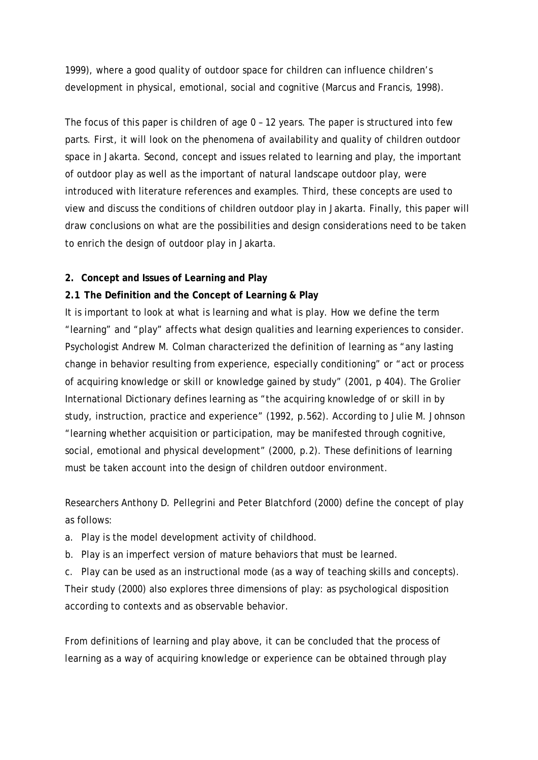1999), where a good quality of outdoor space for children can influence children's development in physical, emotional, social and cognitive (Marcus and Francis, 1998).

The focus of this paper is children of age 0 – 12 years. The paper is structured into few parts. First, it will look on the phenomena of availability and quality of children outdoor space in Jakarta. Second, concept and issues related to learning and play, the important of outdoor play as well as the important of natural landscape outdoor play, were introduced with literature references and examples. Third, these concepts are used to view and discuss the conditions of children outdoor play in Jakarta. Finally, this paper will draw conclusions on what are the possibilities and design considerations need to be taken to enrich the design of outdoor play in Jakarta.

## **2. Concept and Issues of Learning and Play**

## **2.1 The Definition and the Concept of Learning & Play**

It is important to look at what is learning and what is play. How we define the term "learning" and "play" affects what design qualities and learning experiences to consider. Psychologist Andrew M. Colman characterized the definition of learning as "any lasting change in behavior resulting from experience, especially conditioning" or "act or process of acquiring knowledge or skill or knowledge gained by study" (2001, p 404). The Grolier International Dictionary defines learning as "the acquiring knowledge of or skill in by study, instruction, practice and experience" (1992, p.562). According to Julie M. Johnson "learning whether acquisition or participation, may be manifested through cognitive, social, emotional and physical development" (2000, p.2). These definitions of learning must be taken account into the design of children outdoor environment.

Researchers Anthony D. Pellegrini and Peter Blatchford (2000) define the concept of play as follows:

a. Play is the model development activity of childhood.

b. Play is an imperfect version of mature behaviors that must be learned.

c. Play can be used as an instructional mode (as a way of teaching skills and concepts). Their study (2000) also explores three dimensions of play: as psychological disposition according to contexts and as observable behavior.

From definitions of learning and play above, it can be concluded that the process of learning as a way of acquiring knowledge or experience can be obtained through play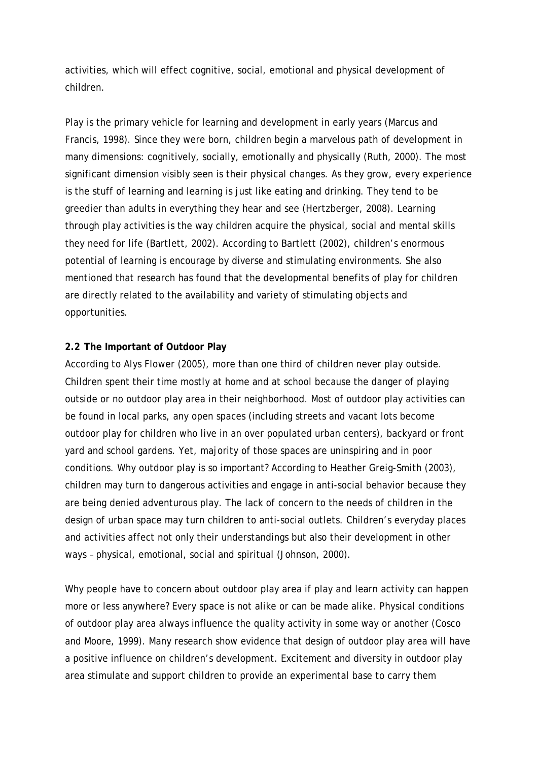activities, which will effect cognitive, social, emotional and physical development of children.

Play is the primary vehicle for learning and development in early years (Marcus and Francis, 1998). Since they were born, children begin a marvelous path of development in many dimensions: cognitively, socially, emotionally and physically (Ruth, 2000). The most significant dimension visibly seen is their physical changes. As they grow, every experience is the stuff of learning and learning is just like eating and drinking. They tend to be greedier than adults in everything they hear and see (Hertzberger, 2008). Learning through play activities is the way children acquire the physical, social and mental skills they need for life (Bartlett, 2002). According to Bartlett (2002), children's enormous potential of learning is encourage by diverse and stimulating environments. She also mentioned that research has found that the developmental benefits of play for children are directly related to the availability and variety of stimulating objects and opportunities.

## **2.2 The Important of Outdoor Play**

According to Alys Flower (2005), more than one third of children never play outside. Children spent their time mostly at home and at school because the danger of playing outside or no outdoor play area in their neighborhood. Most of outdoor play activities can be found in local parks, any open spaces (including streets and vacant lots become outdoor play for children who live in an over populated urban centers), backyard or front yard and school gardens. Yet, majority of those spaces are uninspiring and in poor conditions. Why outdoor play is so important? According to Heather Greig-Smith (2003), children may turn to dangerous activities and engage in anti-social behavior because they are being denied adventurous play. The lack of concern to the needs of children in the design of urban space may turn children to anti-social outlets. Children's everyday places and activities affect not only their understandings but also their development in other ways – physical, emotional, social and spiritual (Johnson, 2000).

Why people have to concern about outdoor play area if play and learn activity can happen more or less anywhere? Every space is not alike or can be made alike. Physical conditions of outdoor play area always influence the quality activity in some way or another (Cosco and Moore, 1999). Many research show evidence that design of outdoor play area will have a positive influence on children's development. Excitement and diversity in outdoor play area stimulate and support children to provide an experimental base to carry them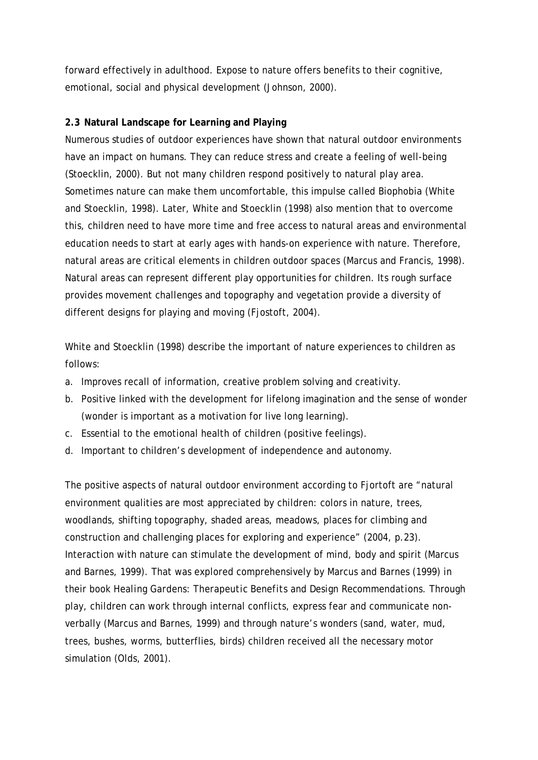forward effectively in adulthood. Expose to nature offers benefits to their cognitive, emotional, social and physical development (Johnson, 2000).

## **2.3 Natural Landscape for Learning and Playing**

Numerous studies of outdoor experiences have shown that natural outdoor environments have an impact on humans. They can reduce stress and create a feeling of well-being (Stoecklin, 2000). But not many children respond positively to natural play area. Sometimes nature can make them uncomfortable, this impulse called Biophobia (White and Stoecklin, 1998). Later, White and Stoecklin (1998) also mention that to overcome this, children need to have more time and free access to natural areas and environmental education needs to start at early ages with hands-on experience with nature. Therefore, natural areas are critical elements in children outdoor spaces (Marcus and Francis, 1998). Natural areas can represent different play opportunities for children. Its rough surface provides movement challenges and topography and vegetation provide a diversity of different designs for playing and moving (Fjostoft, 2004).

White and Stoecklin (1998) describe the important of nature experiences to children as follows:

- a. Improves recall of information, creative problem solving and creativity.
- b. Positive linked with the development for lifelong imagination and the sense of wonder (wonder is important as a motivation for live long learning).
- c. Essential to the emotional health of children (positive feelings).
- d. Important to children's development of independence and autonomy.

The positive aspects of natural outdoor environment according to Fjortoft are "natural environment qualities are most appreciated by children: colors in nature, trees, woodlands, shifting topography, shaded areas, meadows, places for climbing and construction and challenging places for exploring and experience" (2004, p.23). Interaction with nature can stimulate the development of mind, body and spirit (Marcus and Barnes, 1999). That was explored comprehensively by Marcus and Barnes (1999) in their book *Healing Gardens: Therapeutic Benefits and Design Recommendations*. Through play, children can work through internal conflicts, express fear and communicate nonverbally (Marcus and Barnes, 1999) and through nature's wonders (sand, water, mud, trees, bushes, worms, butterflies, birds) children received all the necessary motor simulation (Olds, 2001).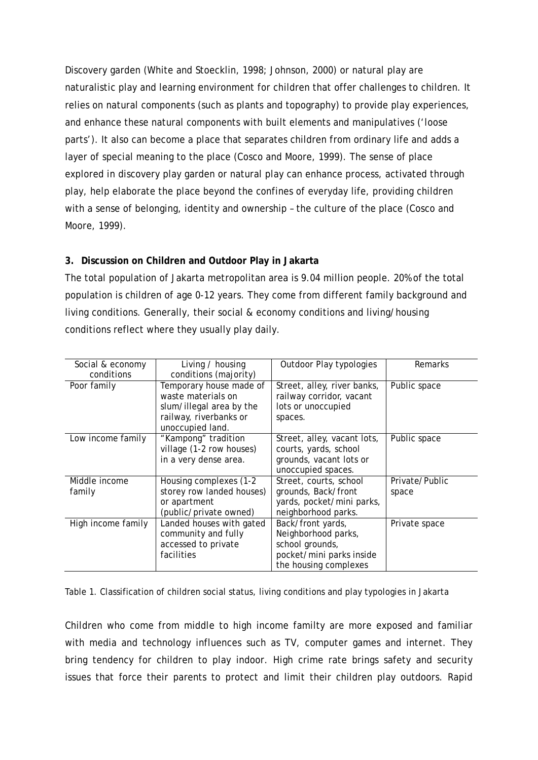Discovery garden (White and Stoecklin, 1998; Johnson, 2000) or natural play are naturalistic play and learning environment for children that offer challenges to children. It relies on natural components (such as plants and topography) to provide play experiences, and enhance these natural components with built elements and manipulatives ('loose parts'). It also can become a place that separates children from ordinary life and adds a layer of special meaning to the place (Cosco and Moore, 1999). The sense of place explored in discovery play garden or natural play can enhance process, activated through play, help elaborate the place beyond the confines of everyday life, providing children with a sense of belonging, identity and ownership – the culture of the place (Cosco and Moore, 1999).

# **3. Discussion on Children and Outdoor Play in Jakarta**

The total population of Jakarta metropolitan area is 9.04 million people. 20% of the total population is children of age 0-12 years. They come from different family background and living conditions. Generally, their social & economy conditions and living/housing conditions reflect where they usually play daily.

| Social & economy<br>conditions | Living / housing<br>conditions (majority)                                                                               | Outdoor Play typologies                                                                                          | Remarks                 |
|--------------------------------|-------------------------------------------------------------------------------------------------------------------------|------------------------------------------------------------------------------------------------------------------|-------------------------|
| Poor family                    | Temporary house made of<br>waste materials on<br>slum/illegal area by the<br>railway, riverbanks or<br>unoccupied land. | Street, alley, river banks,<br>railway corridor, vacant<br>lots or unoccupied<br>spaces.                         | Public space            |
| Low income family              | "Kampong" tradition<br>village (1-2 row houses)<br>in a very dense area.                                                | Street, alley, vacant lots,<br>courts, yards, school<br>grounds, vacant lots or<br>unoccupied spaces.            | Public space            |
| Middle income<br>family        | Housing complexes (1-2)<br>storey row landed houses)<br>or apartment<br>(public/private owned)                          | Street, courts, school<br>grounds, Back/front<br>yards, pocket/mini parks,<br>neighborhood parks.                | Private/Public<br>space |
| High income family             | Landed houses with gated<br>community and fully<br>accessed to private<br>facilities                                    | Back/front yards,<br>Neighborhood parks,<br>school grounds,<br>pocket/mini parks inside<br>the housing complexes | Private space           |

Table 1. Classification of children social status, living conditions and play typologies in Jakarta

Children who come from middle to high income familty are more exposed and familiar with media and technology influences such as TV, computer games and internet. They bring tendency for children to play indoor. High crime rate brings safety and security issues that force their parents to protect and limit their children play outdoors. Rapid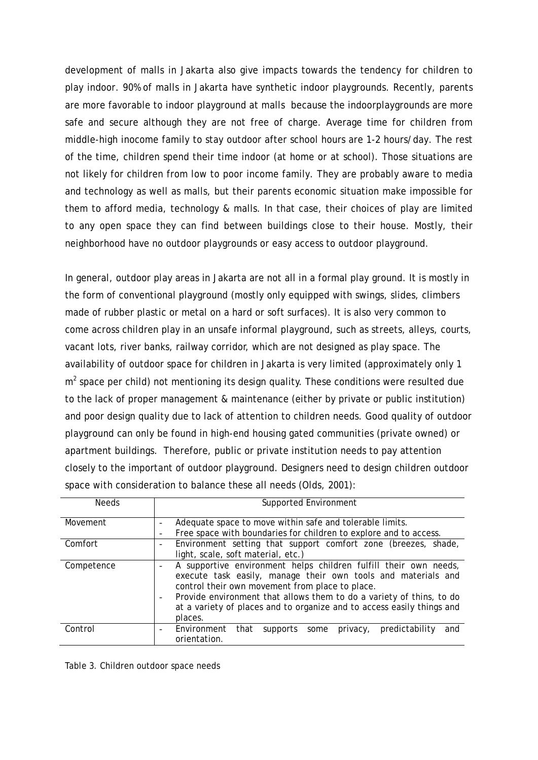development of malls in Jakarta also give impacts towards the tendency for children to play indoor. 90% of malls in Jakarta have synthetic indoor playgrounds. Recently, parents are more favorable to indoor playground at malls because the indoorplaygrounds are more safe and secure although they are not free of charge. Average time for children from middle-high inocome family to stay outdoor after school hours are 1-2 hours/day. The rest of the time, children spend their time indoor (at home or at school). Those situations are not likely for children from low to poor income family. They are probably aware to media and technology as well as malls, but their parents economic situation make impossible for them to afford media, technology & malls. In that case, their choices of play are limited to any open space they can find between buildings close to their house. Mostly, their neighborhood have no outdoor playgrounds or easy access to outdoor playground.

In general, outdoor play areas in Jakarta are not all in a formal play ground. It is mostly in the form of conventional playground (mostly only equipped with swings, slides, climbers made of rubber plastic or metal on a hard or soft surfaces). It is also very common to come across children play in an unsafe informal playground, such as streets, alleys, courts, vacant lots, river banks, railway corridor, which are not designed as play space. The availability of outdoor space for children in Jakarta is very limited (approximately only 1  $m<sup>2</sup>$  space per child) not mentioning its design quality. These conditions were resulted due to the lack of proper management & maintenance (either by private or public institution) and poor design quality due to lack of attention to children needs. Good quality of outdoor playground can only be found in high-end housing gated communities (private owned) or apartment buildings. Therefore, public or private institution needs to pay attention closely to the important of outdoor playground. Designers need to design children outdoor space with consideration to balance these all needs (Olds, 2001):

| <b>Needs</b> | Supported Environment                                                                                                                                                                                                                                                                                                                                                              |  |
|--------------|------------------------------------------------------------------------------------------------------------------------------------------------------------------------------------------------------------------------------------------------------------------------------------------------------------------------------------------------------------------------------------|--|
| Movement     | Adequate space to move within safe and tolerable limits.                                                                                                                                                                                                                                                                                                                           |  |
|              | Free space with boundaries for children to explore and to access.<br>$\overline{\phantom{a}}$                                                                                                                                                                                                                                                                                      |  |
| Comfort      | Environment setting that support comfort zone (breezes, shade,<br>$\overline{\phantom{0}}$                                                                                                                                                                                                                                                                                         |  |
|              | light, scale, soft material, etc.)                                                                                                                                                                                                                                                                                                                                                 |  |
| Competence   | A supportive environment helps children fulfill their own needs,<br>$\overline{\phantom{0}}$<br>execute task easily, manage their own tools and materials and<br>control their own movement from place to place.<br>Provide environment that allows them to do a variety of thins, to do<br>٠<br>at a variety of places and to organize and to access easily things and<br>places. |  |
| Control      | Environment<br>predictability<br>that<br>privacy,<br>supports<br>and<br>some<br>$\sim$<br>orientation.                                                                                                                                                                                                                                                                             |  |

Table 3. Children outdoor space needs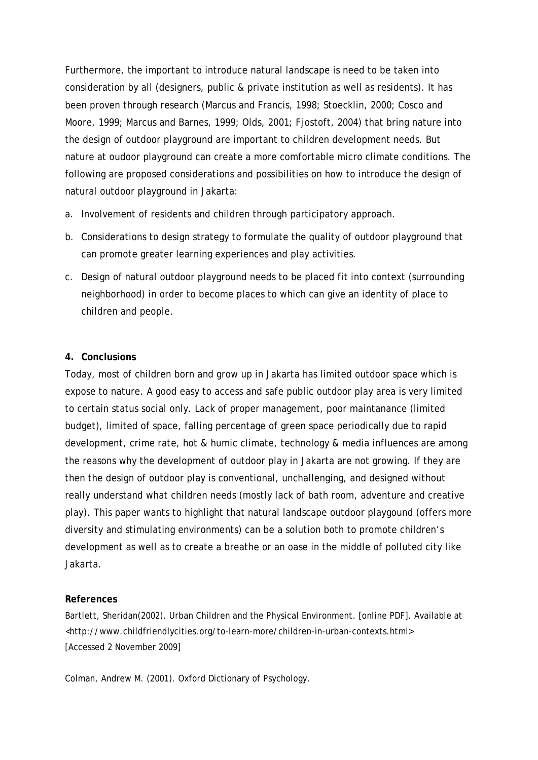Furthermore, the important to introduce natural landscape is need to be taken into consideration by all (designers, public & private institution as well as residents). It has been proven through research (Marcus and Francis, 1998; Stoecklin, 2000; Cosco and Moore, 1999; Marcus and Barnes, 1999; Olds, 2001; Fjostoft, 2004) that bring nature into the design of outdoor playground are important to children development needs. But nature at oudoor playground can create a more comfortable micro climate conditions. The following are proposed considerations and possibilities on how to introduce the design of natural outdoor playground in Jakarta:

- a. Involvement of residents and children through participatory approach.
- b. Considerations to design strategy to formulate the quality of outdoor playground that can promote greater learning experiences and play activities.
- c. Design of natural outdoor playground needs to be placed fit into context (surrounding neighborhood) in order to become places to which can give an identity of place to children and people.

#### **4. Conclusions**

Today, most of children born and grow up in Jakarta has limited outdoor space which is expose to nature. A good easy to access and safe public outdoor play area is very limited to certain status social only. Lack of proper management, poor maintanance (limited budget), limited of space, falling percentage of green space periodically due to rapid development, crime rate, hot & humic climate, technology & media influences are among the reasons why the development of outdoor play in Jakarta are not growing. If they are then the design of outdoor play is conventional, unchallenging, and designed without really understand what children needs (mostly lack of bath room, adventure and creative play). This paper wants to highlight that natural landscape outdoor playgound (offers more diversity and stimulating environments) can be a solution both to promote children's development as well as to create a breathe or an oase in the middle of polluted city like Jakarta.

#### **References**

Bartlett, Sheridan(2002). Urban Children and the Physical Environment. [online PDF]. Available at <http://www.childfriendlycities.org/to-learn-more/children-in-urban-contexts.html> [Accessed 2 November 2009]

Colman, Andrew M. (2001). Oxford Dictionary of Psychology.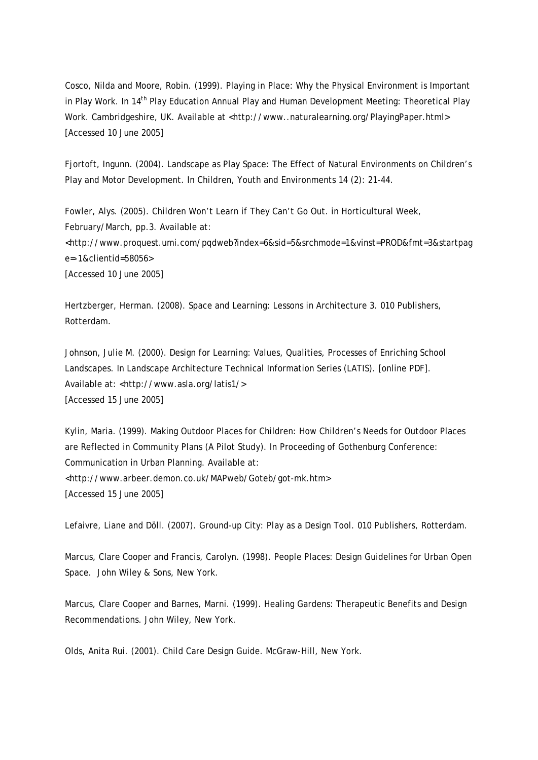Cosco, Nilda and Moore, Robin. (1999). Playing in Place: Why the Physical Environment is Important in Play Work. In *14th* Play Education Annual Play and Human Development Meeting: Theoretical Play Work. Cambridgeshire, UK. Available at <http://www..naturalearning.org/PlayingPaper.html> [Accessed 10 June 2005]

Fjortoft, Ingunn. (2004). Landscape as Play Space: The Effect of Natural Environments on Children's Play and Motor Development. In Children, Youth and Environments 14 (2): 21-44.

Fowler, Alys. (2005). Children Won't Learn if They Can't Go Out. in Horticultural Week, February/March, pp.3. Available at: <http://www.proquest.umi.com/pqdweb?index=6&sid=5&srchmode=1&vinst=PROD&fmt=3&startpag e=-1&clientid=58056> [Accessed 10 June 2005]

Hertzberger, Herman. (2008). Space and Learning: Lessons in Architecture 3. 010 Publishers, Rotterdam.

Johnson, Julie M. (2000). Design for Learning: Values, Qualities, Processes of Enriching School Landscapes. In Landscape Architecture Technical Information Series (LATIS). [online PDF]. Available at: <http://www.asla.org/latis1/> [Accessed 15 June 2005]

Kylin, Maria. (1999). Making Outdoor Places for Children: How Children's Needs for Outdoor Places are Reflected in Community Plans (A Pilot Study). In Proceeding of Gothenburg Conference: Communication in Urban Planning. Available at: <http://www.arbeer.demon.co.uk/MAPweb/Goteb/got-mk.htm> [Accessed 15 June 2005]

Lefaivre, Liane and Döll. (2007). Ground-up City: Play as a Design Tool. 010 Publishers, Rotterdam.

Marcus, Clare Cooper and Francis, Carolyn. (1998). People Places: Design Guidelines for Urban Open Space. John Wiley & Sons, New York.

Marcus, Clare Cooper and Barnes, Marni. (1999). Healing Gardens: Therapeutic Benefits and Design Recommendations. John Wiley, New York.

Olds, Anita Rui. (2001). Child Care Design Guide. McGraw-Hill, New York.